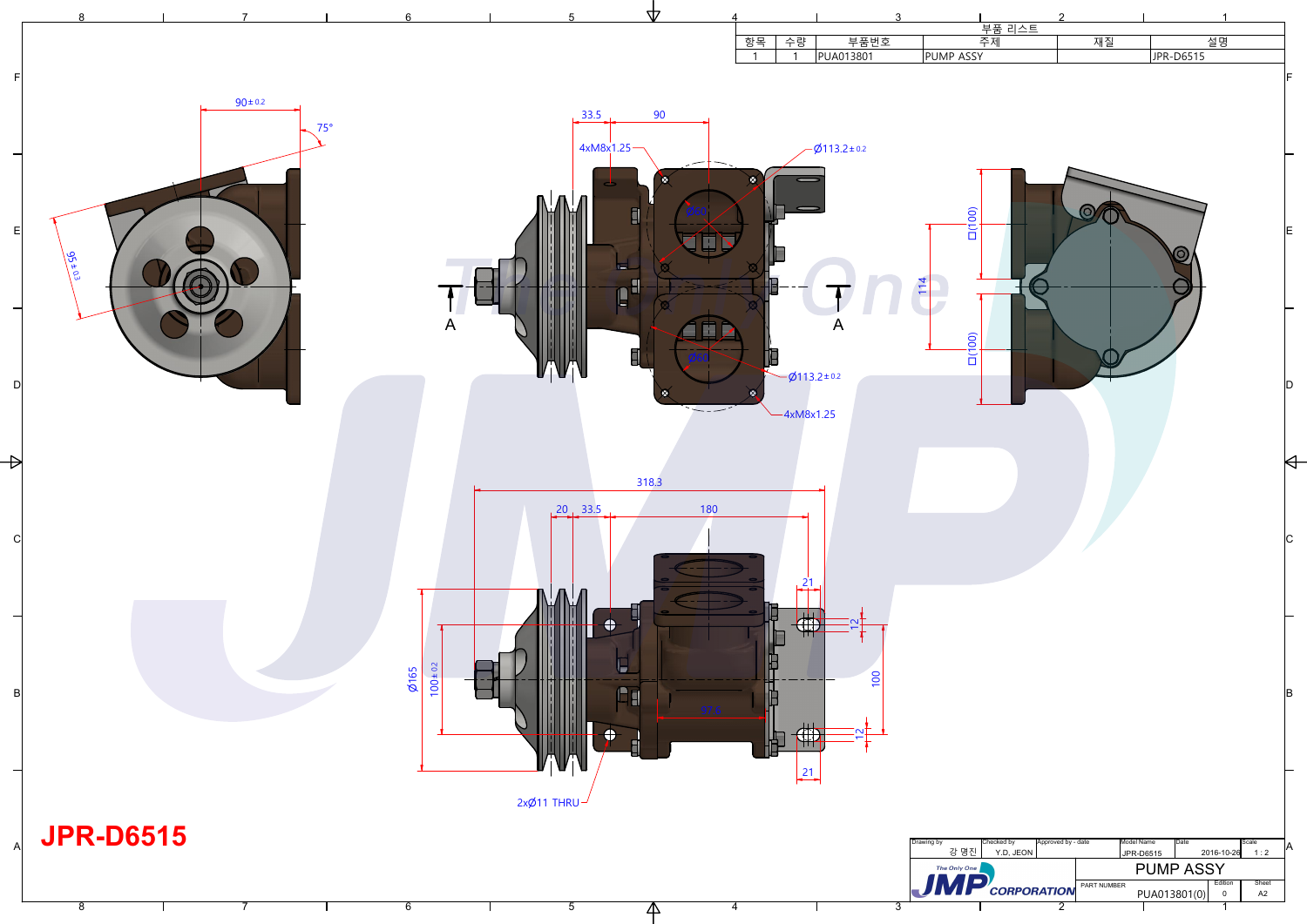1

2

3

4



|      |                               |                                 | 3                                             |              |                          | $\mathcal{P}$              |             |                               |                        |             |
|------|-------------------------------|---------------------------------|-----------------------------------------------|--------------|--------------------------|----------------------------|-------------|-------------------------------|------------------------|-------------|
|      | 향목<br>수량<br>$\mathbf{1}$<br>1 | <b>PUA013801</b>                | 부품번호                                          | PUMP ASSY    | .<br><u>부품 리스트</u><br>주제 |                            | 재질          | JPR-D6515                     | 설명                     |             |
|      |                               |                                 |                                               |              |                          |                            |             |                               |                        | IF.         |
|      |                               |                                 |                                               |              |                          |                            |             |                               |                        |             |
|      |                               | $Ø113.2 \pm 0.2$                |                                               |              |                          |                            |             |                               |                        |             |
|      | Ø                             |                                 |                                               |              |                          |                            |             |                               |                        |             |
|      |                               |                                 |                                               |              | $\Box(100)$              |                            | C           |                               |                        |             |
|      |                               |                                 |                                               |              |                          |                            |             | $\overline{O}$                |                        | lE.         |
|      |                               |                                 |                                               | 114          |                          |                            |             |                               |                        |             |
|      |                               | $\boldsymbol{\mathsf{A}}$       |                                               |              |                          |                            |             |                               |                        |             |
|      | e                             |                                 |                                               |              | (00)<br>ň                |                            |             |                               |                        |             |
|      | $\bullet$                     | $-6113.2 \pm 0.2$               |                                               |              |                          |                            |             |                               |                        |             |
|      |                               | $-4xM8x1.25$                    |                                               |              |                          |                            |             |                               |                        |             |
|      |                               |                                 |                                               |              |                          |                            |             |                               |                        |             |
|      |                               |                                 |                                               |              |                          |                            |             |                               |                        |             |
| 180  |                               |                                 |                                               |              |                          |                            |             |                               |                        |             |
|      |                               |                                 |                                               |              |                          |                            |             |                               |                        | C           |
|      |                               | $\overline{21}$                 |                                               |              |                          |                            |             |                               |                        |             |
|      |                               | TΓ                              | $\overline{\mathsf{N}}$                       |              |                          |                            |             |                               |                        |             |
|      |                               |                                 |                                               |              |                          |                            |             |                               |                        |             |
|      |                               |                                 | 100                                           |              |                          |                            |             |                               |                        | B           |
| 97.6 |                               |                                 | $\mathbf{\Omega}$<br>$\overline{\phantom{0}}$ |              |                          |                            |             |                               |                        |             |
|      |                               | <b>The Contract State</b><br>21 |                                               |              |                          |                            |             |                               |                        |             |
|      |                               |                                 |                                               |              |                          |                            |             |                               |                        |             |
|      |                               |                                 |                                               | Drawing by   | Checked by               | Approved by - date         |             | Model Name<br>Date            |                        | Scale       |
|      |                               |                                 |                                               | The Only One | 강 명진<br>Y.D, JEON        |                            |             | JPR-D6515<br><b>PUMP ASSY</b> | 2016-10-26             | ΙA<br>1:2   |
|      |                               |                                 |                                               |              |                          | $J\mathbf{MP}$ CORPORATION | PART NUMBER | PUA013801(0)                  | Edition<br>$\mathbf 0$ | Sheet<br>A2 |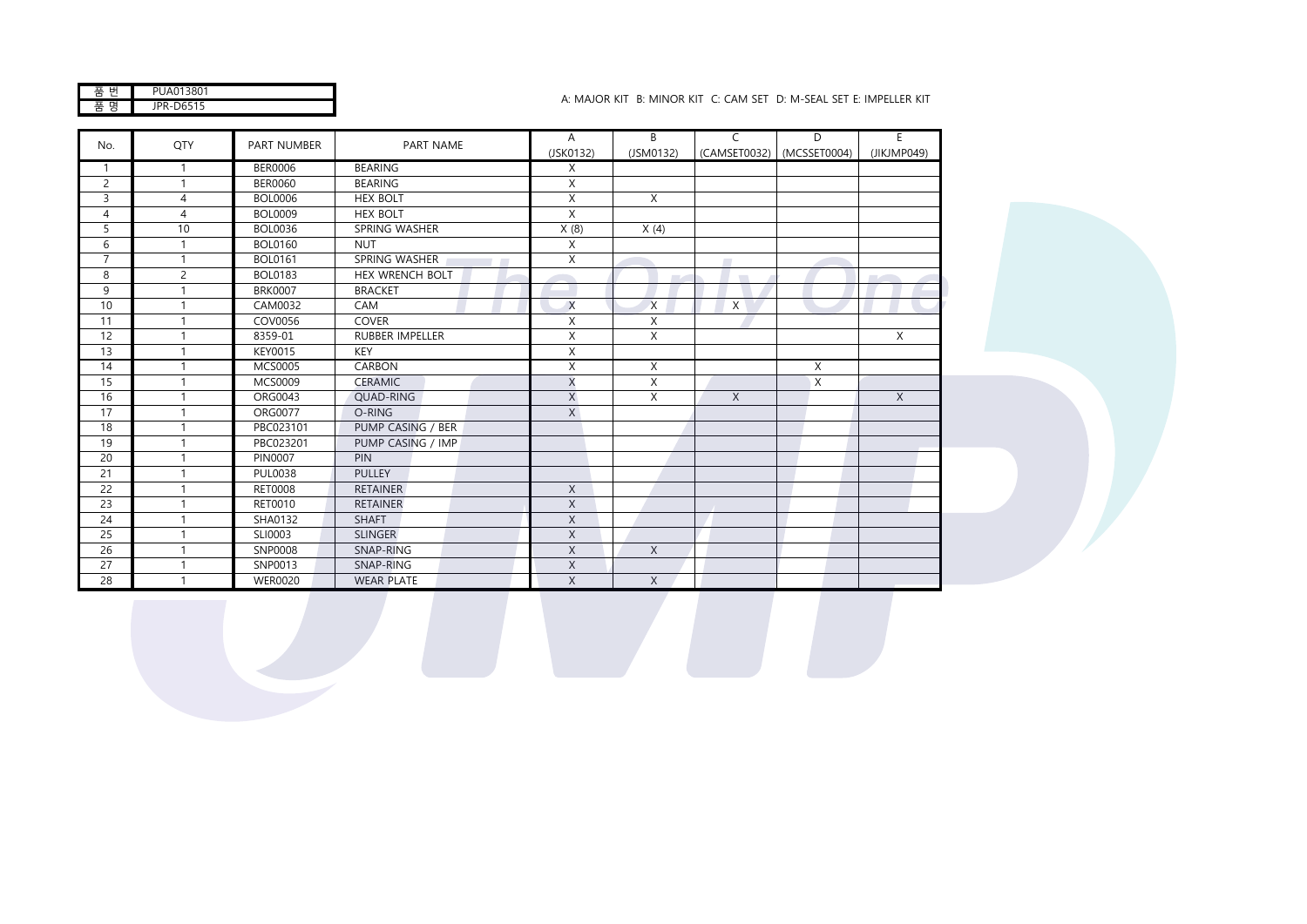품 번 품 명 JPR-D6515

## A: MAJOR KIT B: MINOR KIT C: CAM SET D: M-SEAL SET E: IMPELLER KIT PUA013801

|                |                |                    |                        | A            | $\overline{B}$ | $\mathsf{C}$             | $\overline{D}$            | E           |
|----------------|----------------|--------------------|------------------------|--------------|----------------|--------------------------|---------------------------|-------------|
| No.            | QTY            | <b>PART NUMBER</b> | PART NAME              | (JSK0132)    | (JSM0132)      |                          | (CAMSET0032) (MCSSET0004) | (JIKJMP049) |
| $\mathbf{1}$   |                | <b>BER0006</b>     | <b>BEARING</b>         | Χ            |                |                          |                           |             |
| $\overline{c}$ | 1              | <b>BER0060</b>     | <b>BEARING</b>         | X            |                |                          |                           |             |
| 3              | 4              | <b>BOL0006</b>     | <b>HEX BOLT</b>        | X            | X              |                          |                           |             |
| $\overline{4}$ | $\overline{4}$ | <b>BOL0009</b>     | <b>HEX BOLT</b>        | X            |                |                          |                           |             |
| 5              | 10             | <b>BOL0036</b>     | SPRING WASHER          | X(8)         | X(4)           |                          |                           |             |
| 6              | 1              | <b>BOL0160</b>     | <b>NUT</b>             | X            |                |                          |                           |             |
| $\overline{7}$ |                | <b>BOL0161</b>     | SPRING WASHER          | X            |                | $\overline{\phantom{a}}$ |                           |             |
| 8              | $\overline{2}$ | <b>BOL0183</b>     | <b>HEX WRENCH BOLT</b> |              | $\sim$         | $\mathcal{L}$            |                           |             |
| 9              |                | <b>BRK0007</b>     | <b>BRACKET</b>         |              |                |                          |                           |             |
| 10             | 1              | CAM0032            | CAM                    | X            | $\chi$         | X                        |                           |             |
| 11             |                | COV0056            | COVER                  | X            | X              |                          |                           |             |
| 12             |                | 8359-01            | <b>RUBBER IMPELLER</b> | X            | X              |                          |                           | X           |
| 13             |                | <b>KEY0015</b>     | KEY                    | X            |                |                          |                           |             |
| 14             |                | <b>MCS0005</b>     | CARBON                 | X            | X              |                          | X                         |             |
| 15             |                | <b>MCS0009</b>     | <b>CERAMIC</b>         | $\times$     | X              |                          | $\boldsymbol{\mathsf{X}}$ |             |
| 16             |                | ORG0043            | QUAD-RING              | $\mathsf X$  | X              | X                        |                           | $\mathsf X$ |
| 17             |                | <b>ORG0077</b>     | O-RING                 | X            |                |                          |                           |             |
| 18             |                | PBC023101          | PUMP CASING / BER      |              |                |                          |                           |             |
| 19             |                | PBC023201          | PUMP CASING / IMP      |              |                |                          |                           |             |
| 20             |                | <b>PIN0007</b>     | <b>PIN</b>             |              |                |                          |                           |             |
| 21             |                | <b>PUL0038</b>     | PULLEY                 |              |                |                          |                           |             |
| 22             |                | <b>RET0008</b>     | <b>RETAINER</b>        | $\mathsf{X}$ |                |                          |                           |             |
| 23             |                | RET0010            | <b>RETAINER</b>        | $\mathsf X$  |                |                          |                           |             |
| 24             |                | SHA0132            | <b>SHAFT</b>           | $\mathsf{X}$ |                |                          |                           |             |
| 25             | 1              | SLI0003            | <b>SLINGER</b>         | $\mathsf{X}$ |                |                          |                           |             |
| 26             |                | SNP0008            | SNAP-RING              | $\mathsf X$  | X              |                          |                           |             |
| 27             |                | SNP0013            | SNAP-RING              | $\mathsf{X}$ |                |                          |                           |             |
| 28             |                | <b>WER0020</b>     | <b>WEAR PLATE</b>      | X            | $\times$       |                          |                           |             |